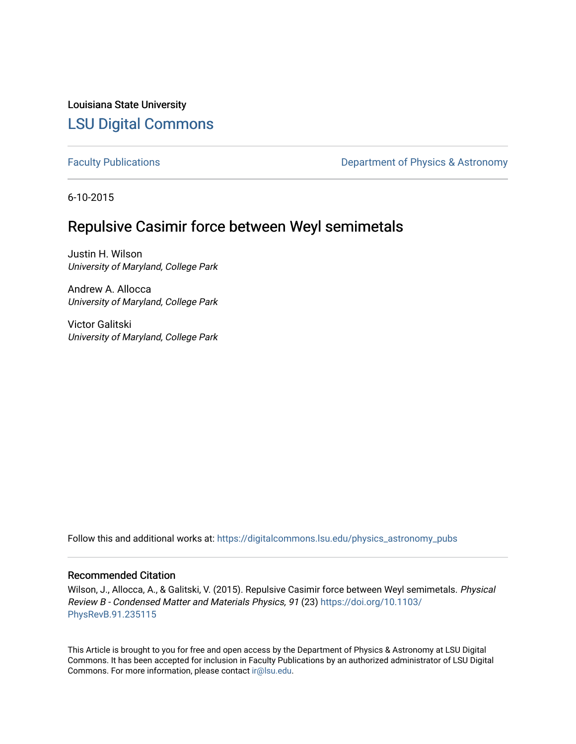Louisiana State University [LSU Digital Commons](https://digitalcommons.lsu.edu/)

[Faculty Publications](https://digitalcommons.lsu.edu/physics_astronomy_pubs) **Exercise 2 and Table 2 and Table 2 and Table 2 and Table 2 and Table 2 and Table 2 and Table 2 and Table 2 and Table 2 and Table 2 and Table 2 and Table 2 and Table 2 and Table 2 and Table 2 and Table** 

6-10-2015

### Repulsive Casimir force between Weyl semimetals

Justin H. Wilson University of Maryland, College Park

Andrew A. Allocca University of Maryland, College Park

Victor Galitski University of Maryland, College Park

Follow this and additional works at: [https://digitalcommons.lsu.edu/physics\\_astronomy\\_pubs](https://digitalcommons.lsu.edu/physics_astronomy_pubs?utm_source=digitalcommons.lsu.edu%2Fphysics_astronomy_pubs%2F5803&utm_medium=PDF&utm_campaign=PDFCoverPages) 

### Recommended Citation

Wilson, J., Allocca, A., & Galitski, V. (2015). Repulsive Casimir force between Weyl semimetals. Physical Review B - Condensed Matter and Materials Physics, 91 (23) [https://doi.org/10.1103/](https://doi.org/10.1103/PhysRevB.91.235115) [PhysRevB.91.235115](https://doi.org/10.1103/PhysRevB.91.235115)

This Article is brought to you for free and open access by the Department of Physics & Astronomy at LSU Digital Commons. It has been accepted for inclusion in Faculty Publications by an authorized administrator of LSU Digital Commons. For more information, please contact [ir@lsu.edu](mailto:ir@lsu.edu).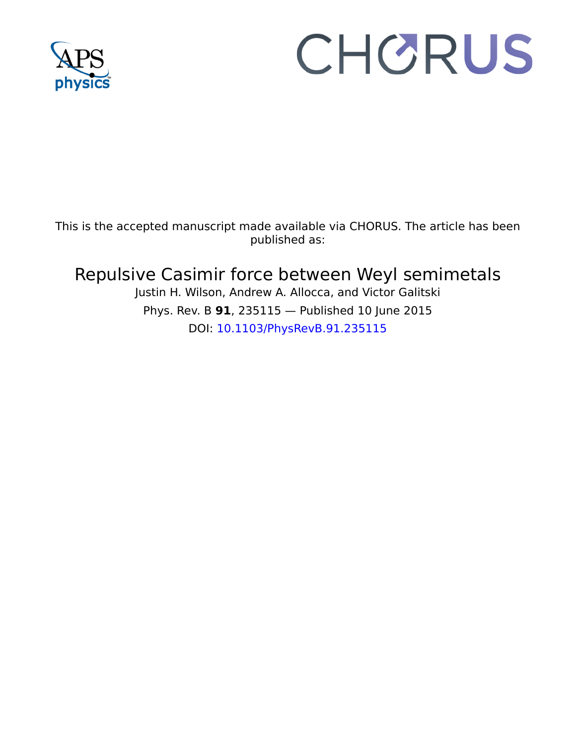

# CHORUS

This is the accepted manuscript made available via CHORUS. The article has been published as:

## Repulsive Casimir force between Weyl semimetals

Justin H. Wilson, Andrew A. Allocca, and Victor Galitski Phys. Rev. B **91**, 235115 — Published 10 June 2015 DOI: [10.1103/PhysRevB.91.235115](http://dx.doi.org/10.1103/PhysRevB.91.235115)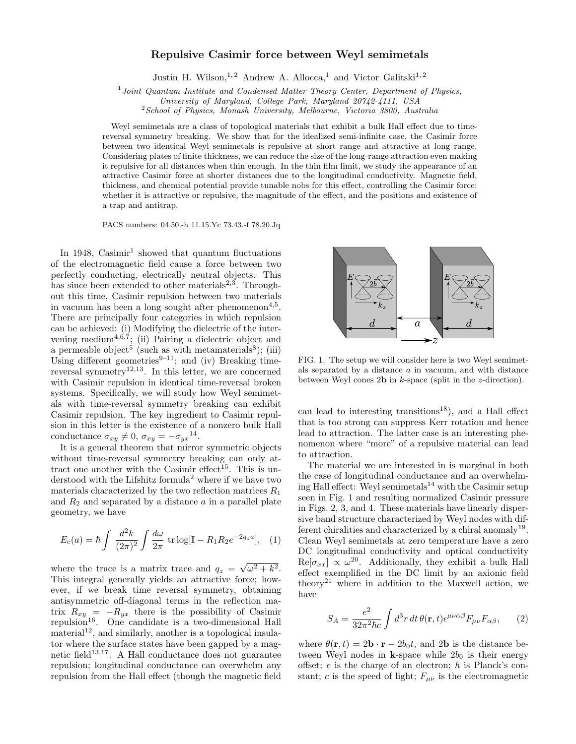#### Repulsive Casimir force between Weyl semimetals

Justin H. Wilson,<sup>1,2</sup> Andrew A. Allocca,<sup>1</sup> and Victor Galitski<sup>1,2</sup>

<sup>1</sup> Joint Quantum Institute and Condensed Matter Theory Center, Department of Physics,

 $2$ School of Physics, Monash University, Melbourne, Victoria 3800, Australia

Weyl semimetals are a class of topological materials that exhibit a bulk Hall effect due to timereversal symmetry breaking. We show that for the idealized semi-infinite case, the Casimir force between two identical Weyl semimetals is repulsive at short range and attractive at long range. Considering plates of finite thickness, we can reduce the size of the long-range attraction even making it repulsive for all distances when thin enough. In the thin film limit, we study the appearance of an attractive Casimir force at shorter distances due to the longitudinal conductivity. Magnetic field, thickness, and chemical potential provide tunable nobs for this effect, controlling the Casimir force: whether it is attractive or repulsive, the magnitude of the effect, and the positions and existence of a trap and antitrap.

PACS numbers: 04.50.-h 11.15.Yc 73.43.-f 78.20.Jq

In 1948, Casimir<sup>1</sup> showed that quantum fluctuations of the electromagnetic field cause a force between two perfectly conducting, electrically neutral objects. This has since been extended to other materials<sup>2,3</sup>. Throughout this time, Casimir repulsion between two materials in vacuum has been a long sought after phenomenon<sup>4,5</sup>. There are principally four categories in which repulsion can be achieved: (i) Modifying the dielectric of the intervening medium<sup>4,6,7</sup>; (ii) Pairing a dielectric object and a permeable object<sup>5</sup> (such as with metamaterials<sup>8</sup>); (iii) Using different geometries<sup>9–11</sup>; and (iv) Breaking timereversal symmetry<sup>12,13</sup>. In this letter, we are concerned with Casimir repulsion in identical time-reversal broken systems. Specifically, we will study how Weyl semimetals with time-reversal symmetry breaking can exhibit Casimir repulsion. The key ingredient to Casimir repulsion in this letter is the existence of a nonzero bulk Hall conductance  $\sigma_{xy} \neq 0$ ,  $\sigma_{xy} = -\sigma_{yx}^{14}$ .

It is a general theorem that mirror symmetric objects without time-reversal symmetry breaking can only attract one another with the Casimir effect<sup>15</sup>. This is understood with the Lifshitz formula<sup>2</sup> where if we have two materials characterized by the two reflection matrices  $R_1$ and  $R_2$  and separated by a distance  $\alpha$  in a parallel plate geometry, we have

$$
E_c(a) = \hbar \int \frac{d^2 k}{(2\pi)^2} \int \frac{d\omega}{2\pi} \, \text{tr} \log[\mathbb{I} - R_1 R_2 e^{-2q_z a}], \quad (1)
$$

where the trace is a matrix trace and  $q_z = \sqrt{\omega^2 + k^2}$ . This integral generally yields an attractive force; however, if we break time reversal symmetry, obtaining antisymmetric off-diagonal terms in the reflection matrix  $R_{xy} = -R_{yx}$  there is the possibility of Casimir repulsion<sup>16</sup>. One candidate is a two-dimensional Hall  $\mu$ <sup>12</sup>, and similarly, another is a topological insulator where the surface states have been gapped by a magnetic field $13,17$ . A Hall conductance does not guarantee repulsion; longitudinal conductance can overwhelm any repulsion from the Hall effect (though the magnetic field



FIG. 1. The setup we will consider here is two Weyl semimetals separated by a distance a in vacuum, and with distance between Weyl cones 2b in k-space (split in the z-direction).

can lead to interesting transitions<sup>18</sup>), and a Hall effect that is too strong can suppress Kerr rotation and hence lead to attraction. The latter case is an interesting phenomenon where "more" of a repulsive material can lead to attraction.

The material we are interested in is marginal in both the case of longitudinal conductance and an overwhelming Hall effect: Weyl semimetals<sup>14</sup> with the Casimir setup seen in Fig. 1 and resulting normalized Casimir pressure in Figs. 2, 3, and 4. These materials have linearly dispersive band structure characterized by Weyl nodes with different chiralities and characterized by a chiral anomaly<sup>19</sup>. Clean Weyl semimetals at zero temperature have a zero DC longitudinal conductivity and optical conductivity  $\text{Re}[\sigma_{xx}] \propto \omega^{20}$ . Additionally, they exhibit a bulk Hall effect exemplified in the DC limit by an axionic field theory<sup>21</sup> where in addition to the Maxwell action, we have

$$
S_A = \frac{e^2}{32\pi^2\hbar c} \int d^3r \, dt \, \theta(\mathbf{r}, t) \epsilon^{\mu\nu\alpha\beta} F_{\mu\nu} F_{\alpha\beta}, \qquad (2)
$$

where  $\theta(\mathbf{r}, t) = 2\mathbf{b} \cdot \mathbf{r} - 2b_0t$ , and 2b is the distance between Weyl nodes in k-space while  $2b_0$  is their energy offset;  $e$  is the charge of an electron;  $\hbar$  is Planck's constant; c is the speed of light;  $F_{\mu\nu}$  is the electromagnetic

University of Maryland, College Park, Maryland 20742-4111, USA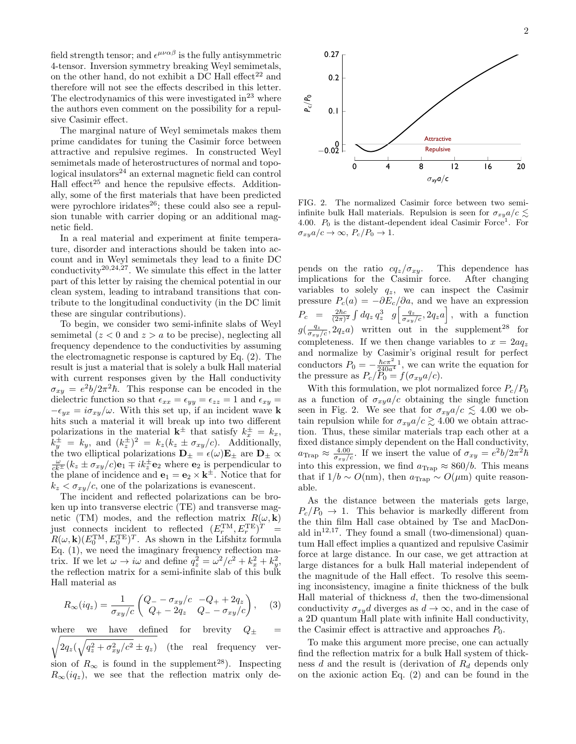field strength tensor; and  $\epsilon^{\mu\nu\alpha\beta}$  is the fully antisymmetric 4-tensor. Inversion symmetry breaking Weyl semimetals, on the other hand, do not exhibit a DC Hall effect<sup>22</sup> and therefore will not see the effects described in this letter. The electrodynamics of this were investigated  $in^{23}$  where the authors even comment on the possibility for a repulsive Casimir effect.

The marginal nature of Weyl semimetals makes them prime candidates for tuning the Casimir force between attractive and repulsive regimes. In constructed Weyl semimetals made of heterostructures of normal and topological insulators $^{24}$  an external magnetic field can control Hall effect<sup>25</sup> and hence the repulsive effects. Additionally, some of the first materials that have been predicted were pyrochlore iridates<sup>26</sup>; these could also see a repulsion tunable with carrier doping or an additional magnetic field.

In a real material and experiment at finite temperature, disorder and interactions should be taken into account and in Weyl semimetals they lead to a finite DC conductivity<sup>20,24,27</sup>. We simulate this effect in the latter part of this letter by raising the chemical potential in our clean system, leading to intraband transitions that contribute to the longitudinal conductivity (in the DC limit these are singular contributions).

To begin, we consider two semi-infinite slabs of Weyl semimetal  $(z < 0$  and  $z > a$  to be precise), neglecting all frequency dependence to the conductivities by assuming the electromagnetic response is captured by Eq. (2). The result is just a material that is solely a bulk Hall material with current responses given by the Hall conductivity  $\sigma_{xy} = e^2b/2\pi^2\hbar$ . This response can be encoded in the dielectric function so that  $\epsilon_{xx} = \epsilon_{yy} = \epsilon_{zz} = 1$  and  $\epsilon_{xy} =$  $-\epsilon_{ux} = i\sigma_{xy}/\omega$ . With this set up, if an incident wave k hits such a material it will break up into two different polarizations in the material  $\mathbf{k}^{\pm}$  that satisfy  $k_x^{\pm} = k_x$ ,  $k_y^{\pm} = k_y$ , and  $(k_z^{\pm})^2 = k_z(k_z \pm \sigma_{xy}/c)$ . Additionally, the two elliptical polarizations  $\mathbf{D}_{\pm} = \epsilon(\omega)\mathbf{E}_{\pm}$  are  $\mathbf{D}_{\pm} \propto$  $\frac{\omega}{ck}$   $(k_z \pm \sigma_{xy}/c)\mathbf{e}_1 \mp ik_z^{\pm}\mathbf{e}_2$  where  $\mathbf{e}_2$  is perpendicular to the plane of incidence and  $\mathbf{e}_1 = \mathbf{e}_2 \times \mathbf{k}^{\pm}$ . Notice that for  $k_z < \sigma_{xy}/c$ , one of the polarizations is evanescent.

The incident and reflected polarizations can be broken up into transverse electric (TE) and transverse magnetic (TM) modes, and the reflection matrix  $R(\omega, \mathbf{k})$ just connects incident to reflected  $(E_r^{\text{TM}}, E_r^{\text{TE}})^T =$  $R(\omega, \mathbf{k}) (E_0^{\text{TM}}, E_0^{\text{TE}})^T$ . As shown in the Lifshitz formula Eq. (1), we need the imaginary frequency reflection matrix. If we let  $\omega \to i\omega$  and define  $q_z^2 = \omega^2/c^2 + k_x^2 + k_y^2$ , the reflection matrix for a semi-infinite slab of this bulk Hall material as

$$
R_{\infty}(iq_z) = \frac{1}{\sigma_{xy}/c} \begin{pmatrix} Q_{-} - \sigma_{xy}/c & -Q_{+} + 2q_z \\ Q_{+} - 2q_z & Q_{-} - \sigma_{xy}/c \end{pmatrix}, \quad (3)
$$

where we have defined for brevity  $\sqrt{2q_z(\sqrt{q_z^2+\sigma_{xy}^2/c^2}\pm q_z)}$  (the real frequency ver- $Q_{+}$  = sion of  $R_{\infty}$  is found in the supplement<sup>28</sup>). Inspecting  $R_{\infty}(iq_z)$ , we see that the reflection matrix only de-



FIG. 2. The normalized Casimir force between two semiinfinite bulk Hall materials. Repulsion is seen for  $\sigma_{xy} a/c \lesssim$ 4.00.  $P_0$  is the distant-dependent ideal Casimir Force<sup>1</sup>. For  $\sigma_{xy}a/c \rightarrow \infty$ ,  $P_c/P_0 \rightarrow 1$ .

pends on the ratio  $cq_z/\sigma_{xy}$ . This dependence has implications for the Casimir force. After changing variables to solely  $q_z$ , we can inspect the Casimir pressure  $P_c(a) = -\partial E_c/\partial a$ , and we have an expression  $P_c = \frac{2\hbar c}{(2\pi)^2} \int dq_z q_z^3$   $g\left[\frac{q_z}{\sigma_{xy}/c}, 2q_z a\right]$ , with a function  $g(\frac{q_z}{\sigma_{xy}/c}, 2q_z a)$  written out in the supplement<sup>28</sup> for completeness. If we then change variables to  $x = 2aq_z$ and normalize by Casimir's original result for perfect conductors  $P_0 = -\frac{\hbar c \pi^2}{240a^4}$ , we can write the equation for the pressure as  $P_c/P_0 = f(\sigma_{xy}a/c)$ .

With this formulation, we plot normalized force  $P_c/P_0$ as a function of  $\sigma_{xy}a/c$  obtaining the single function seen in Fig. 2. We see that for  $\sigma_{xy}a/c \lesssim 4.00$  we obtain repulsion while for  $\sigma_{xy}a/c \gtrsim 4.00$  we obtain attraction. Thus, these similar materials trap each other at a fixed distance simply dependent on the Hall conductivity,  $a_{\text{Trap}} \approx \frac{4.00}{\sigma_{xy}/c}$ . If we insert the value of  $\sigma_{xy} = e^2 b / 2\pi^2 \hbar$ into this expression, we find  $a_{\text{Trap}} \approx 860/b$ . This means that if  $1/b \sim O(nm)$ , then  $a_{\text{Trap}} \sim O(\mu m)$  quite reasonable.

As the distance between the materials gets large,  $P_c/P_0 \rightarrow 1$ . This behavior is markedly different from the thin film Hall case obtained by Tse and MacDonald  $\text{in}^{12,17}$ . They found a small (two-dimensional) quantum Hall effect implies a quantized and repulsive Casimir force at large distance. In our case, we get attraction at large distances for a bulk Hall material independent of the magnitude of the Hall effect. To resolve this seeming inconsistency, imagine a finite thickness of the bulk Hall material of thickness  $d$ , then the two-dimensional conductivity  $\sigma_{xy}d$  diverges as  $d \to \infty$ , and in the case of a 2D quantum Hall plate with infinite Hall conductivity, the Casimir effect is attractive and approaches  $P_0$ .

To make this argument more precise, one can actually find the reflection matrix for a bulk Hall system of thickness d and the result is (derivation of  $R_d$  depends only on the axionic action Eq. (2) and can be found in the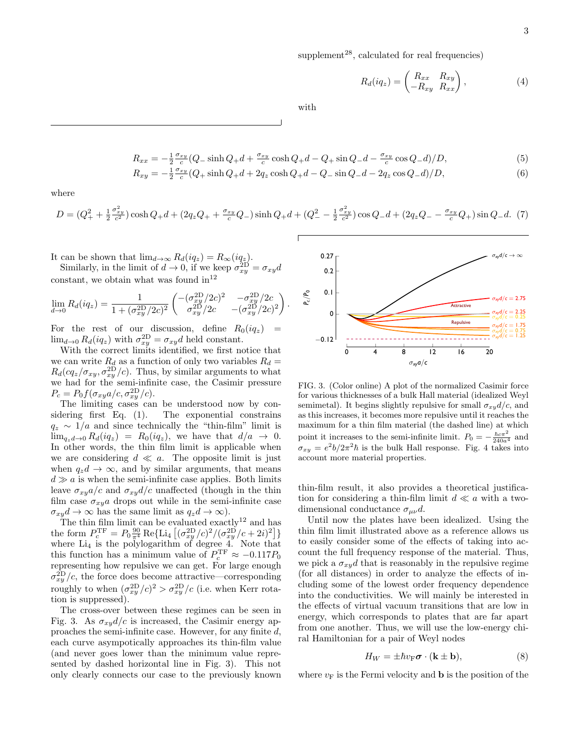supplement<sup>28</sup>, calculated for real frequencies)

$$
R_d(iq_z) = \begin{pmatrix} R_{xx} & R_{xy} \\ -R_{xy} & R_{xx} \end{pmatrix},\tag{4}
$$

with

$$
R_{xx} = -\frac{1}{2} \frac{\sigma_{xy}}{c} (Q_{-} \sinh Q_{+} d + \frac{\sigma_{xy}}{c} \cosh Q_{+} d - Q_{+} \sin Q_{-} d - \frac{\sigma_{xy}}{c} \cos Q_{-} d)/D, \tag{5}
$$

$$
R_{xy} = -\frac{1}{2} \frac{\sigma_{xy}}{c} (Q_+ \sinh Q_+ d + 2q_z \cosh Q_+ d - Q_- \sin Q_- d - 2q_z \cos Q_- d)/D,
$$
\n(6)

where

$$
D = (Q_{+}^{2} + \frac{1}{2} \frac{\sigma_{xy}^{2}}{c^{2}}) \cosh Q_{+} d + (2q_{z}Q_{+} + \frac{\sigma_{xy}}{c}Q_{-}) \sinh Q_{+} d + (Q_{-}^{2} - \frac{1}{2} \frac{\sigma_{xy}^{2}}{c^{2}}) \cos Q_{-} d + (2q_{z}Q_{-} - \frac{\sigma_{xy}}{c}Q_{+}) \sin Q_{-} d. (7)
$$

It can be shown that  $\lim_{d\to\infty} R_d(iq_z) = R_\infty(iq_z).$ 

Similarly, in the limit of  $d \to 0$ , if we keep  $\sigma_{xy}^{\text{2D}} = \sigma_{xy}d$ constant, we obtain what was found  $in^{12}$ 

$$
\lim_{d \to 0} R_d(iq_z) = \frac{1}{1 + (\sigma_{xy}^{2D}/2c)^2} \begin{pmatrix} -(\sigma_{xy}^{2D}/2c)^2 & -\sigma_{xy}^{2D}/2c \\ \sigma_{xy}^{2D}/2c & -(\sigma_{xy}^{2D}/2c)^2 \end{pmatrix}.
$$

For the rest of our discussion, define  $R_0(iq_z)$  =  $\lim_{d\to 0} R_d(iq_z)$  with  $\sigma_{xy}^{\text{2D}} = \sigma_{xy}d$  held constant.

With the correct limits identified, we first notice that we can write  $R_d$  as a function of only two variables  $R_d =$  $R_d(cq_z/\sigma_{xy}, \sigma_{xy}^{2D}/c)$ . Thus, by similar arguments to what we had for the semi-infinite case, the Casimir pressure  $P_c = P_0 f(\sigma_{xy} a/c, \sigma_{xy}^{\text{2D}}/c).$ 

The limiting cases can be understood now by considering first Eq. (1). The exponential constrains  $q_z \sim 1/a$  and since technically the "thin-film" limit is  $\lim_{q_z \to 0} R_d(iq_z) = R_0(iq_z)$ , we have that  $d/a \to 0$ . In other words, the thin film limit is applicable when we are considering  $d \ll a$ . The opposite limit is just when  $q_zd \to \infty$ , and by similar arguments, that means  $d \gg a$  is when the semi-infinite case applies. Both limits leave  $\sigma_{xy}a/c$  and  $\sigma_{xy}d/c$  unaffected (though in the thin film case  $\sigma_{xy}a$  drops out while in the semi-infinite case  $\sigma_{xy}d \to \infty$  has the same limit as  $q_zd \to \infty$ ).

The thin film limit can be evaluated exactly<sup>12</sup> and has the form  $P_c^{\text{TF}} = P_0 \frac{90}{\pi^4} \text{Re} \{\text{Li}_4 \left[ (\sigma_{xy}^{\text{2D}}/c)^2 / (\sigma_{xy}^{\text{2D}}/c + 2i)^2 \right] \}$ where  $Li_4$  is the polylogarithm of degree 4. Note that this function has a minimum value of  $P_c^{\text{TF}} \approx -0.117 P_0$ representing how repulsive we can get. For large enough  $\sigma_{xy}^{\text{2D}}/c$ , the force does become attractive—corresponding roughly to when  $(\sigma_{xy}^{2D}/c)^2 > \sigma_{xy}^{2D}/c$  (i.e. when Kerr rotation is suppressed).

The cross-over between these regimes can be seen in Fig. 3. As  $\sigma_{xy}d/c$  is increased, the Casimir energy approaches the semi-infinite case. However, for any finite d, each curve asympotically approaches its thin-film value (and never goes lower than the minimum value represented by dashed horizontal line in Fig. 3). This not only clearly connects our case to the previously known



FIG. 3. (Color online) A plot of the normalized Casimir force for various thicknesses of a bulk Hall material (idealized Weyl semimetal). It begins slightly repulsive for small  $\sigma_{xy}d/c$ , and as this increases, it becomes more repulsive until it reaches the maximum for a thin film material (the dashed line) at which point it increases to the semi-infinite limit.  $P_0 = -\frac{\hbar c \pi^2}{240a^4}$  and  $\sigma_{xy} = e^2 b / 2\pi^2 \hbar$  is the bulk Hall response. Fig. 4 takes into account more material properties.

thin-film result, it also provides a theoretical justification for considering a thin-film limit  $d \ll a$  with a twodimensional conductance  $\sigma_{\mu\nu}d$ .

Until now the plates have been idealized. Using the thin film limit illustrated above as a reference allows us to easily consider some of the effects of taking into account the full frequency response of the material. Thus, we pick a  $\sigma_{xy}d$  that is reasonably in the repulsive regime (for all distances) in order to analyze the effects of including some of the lowest order frequency dependence into the conductivities. We will mainly be interested in the effects of virtual vacuum transitions that are low in energy, which corresponds to plates that are far apart from one another. Thus, we will use the low-energy chiral Hamiltonian for a pair of Weyl nodes

$$
H_W = \pm \hbar v_{\rm F} \sigma \cdot (\mathbf{k} \pm \mathbf{b}),\tag{8}
$$

where  $v_F$  is the Fermi velocity and **b** is the position of the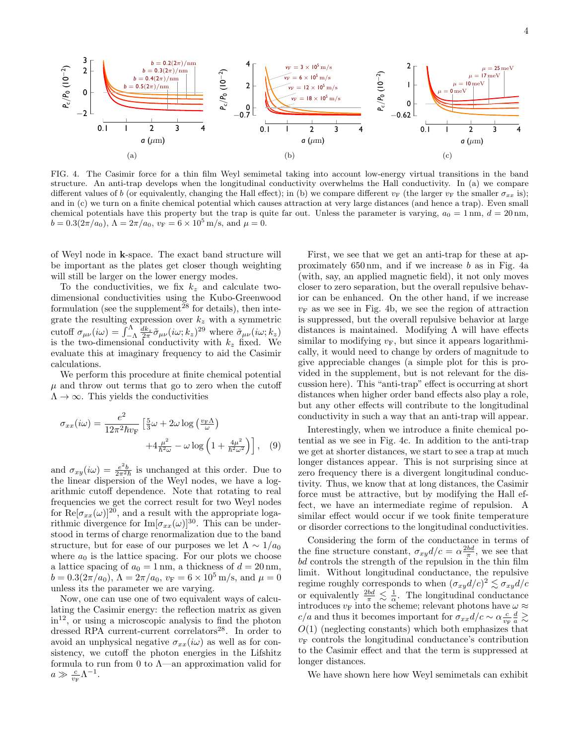

FIG. 4. The Casimir force for a thin film Weyl semimetal taking into account low-energy virtual transitions in the band structure. An anti-trap develops when the longitudinal conductivity overwhelms the Hall conductivity. In (a) we compare different values of b (or equivalently, changing the Hall effect); in (b) we compare different  $v_F$  (the larger  $v_F$  the smaller  $\sigma_{xx}$  is); and in (c) we turn on a finite chemical potential which causes attraction at very large distances (and hence a trap). Even small chemical potentials have this property but the trap is quite far out. Unless the parameter is varying,  $a_0 = 1 \text{ nm}, d = 20 \text{ nm},$  $b = 0.3(2\pi/a_0), \Lambda = 2\pi/a_0, v_F = 6 \times 10^5 \text{ m/s, and } \mu = 0.$ 

of Weyl node in k-space. The exact band structure will be important as the plates get closer though weighting will still be larger on the lower energy modes.

To the conductivities, we fix  $k_z$  and calculate twodimensional conductivities using the Kubo-Greenwood formulation (see the supplement<sup>28</sup> for details), then integrate the resulting expression over  $k_z$  with a symmetric cutoff  $\sigma_{\mu\nu}(i\omega) = \int_{-\Lambda}^{\Lambda} \frac{dk_z}{2\pi} \tilde{\sigma}_{\mu\nu}(i\omega; k_z)^{29}$  where  $\tilde{\sigma}_{\mu\nu}(i\omega; k_z)$ is the two-dimensional conductivity with  $k_z$  fixed. We evaluate this at imaginary frequency to aid the Casimir calculations.

We perform this procedure at finite chemical potential  $\mu$  and throw out terms that go to zero when the cutoff  $\Lambda \to \infty$ . This yields the conductivities

$$
\sigma_{xx}(i\omega) = \frac{e^2}{12\pi^2\hbar v_{\rm F}} \left[ \frac{5}{3}\omega + 2\omega \log\left(\frac{v_{\rm F}\Lambda}{\omega}\right) + 4\frac{\mu^2}{\hbar^2 \omega} - \omega \log\left(1 + \frac{4\mu^2}{\hbar^2 \omega^2}\right) \right], \quad (9)
$$

and  $\sigma_{xy}(i\omega) = \frac{e^2b}{2\pi^2\hbar}$  is unchanged at this order. Due to the linear dispersion of the Weyl nodes, we have a logarithmic cutoff dependence. Note that rotating to real frequencies we get the correct result for two Weyl nodes for  $\text{Re}[\sigma_{xx}(\omega)]^{20}$ , and a result with the appropriate logarithmic divergence for  $\text{Im}[\sigma_{xx}(\omega)]^{30}$ . This can be understood in terms of charge renormalization due to the band structure, but for ease of our purposes we let  $\Lambda \sim 1/a_0$ where  $a_0$  is the lattice spacing. For our plots we choose a lattice spacing of  $a_0 = 1$  nm, a thickness of  $d = 20$  nm,  $b = 0.3(2\pi/a_0), \Lambda = 2\pi/a_0, v_F = 6 \times 10^5 \,\text{m/s}, \text{ and } \mu = 0$ unless its the parameter we are varying.

Now, one can use one of two equivalent ways of calculating the Casimir energy: the reflection matrix as given  $in<sup>12</sup>$ , or using a microscopic analysis to find the photon dressed RPA current-current correlators<sup>28</sup>. In order to avoid an unphysical negative  $\sigma_{xx}(i\omega)$  as well as for consistency, we cutoff the photon energies in the Lifshitz formula to run from 0 to  $\Lambda$ —an approximation valid for  $a \gg \frac{c}{v_{\rm F}} \Lambda^{-1}.$ 

First, we see that we get an anti-trap for these at approximately 650 nm, and if we increase b as in Fig. 4a (with, say, an applied magnetic field), it not only moves closer to zero separation, but the overall repulsive behavior can be enhanced. On the other hand, if we increase  $v_F$  as we see in Fig. 4b, we see the region of attraction is suppressed, but the overall repulsive behavior at large distances is maintained. Modifying  $\Lambda$  will have effects similar to modifying  $v_F$ , but since it appears logarithmically, it would need to change by orders of magnitude to give appreciable changes (a simple plot for this is provided in the supplement, but is not relevant for the discussion here). This "anti-trap" effect is occurring at short distances when higher order band effects also play a role, but any other effects will contribute to the longitudinal conductivity in such a way that an anti-trap will appear.

Interestingly, when we introduce a finite chemical potential as we see in Fig. 4c. In addition to the anti-trap we get at shorter distances, we start to see a trap at much longer distances appear. This is not surprising since at zero frequency there is a divergent longitudinal conductivity. Thus, we know that at long distances, the Casimir force must be attractive, but by modifying the Hall effect, we have an intermediate regime of repulsion. A similar effect would occur if we took finite temperature or disorder corrections to the longitudinal conductivities.

Considering the form of the conductance in terms of the fine structure constant,  $\sigma_{xy}d/c = \alpha \frac{2bd}{\pi}$ , we see that  $bd$  controls the strength of the repulsion in the thin film limit. Without longitudinal conductance, the repulsive regime roughly corresponds to when  $(\sigma_{xy}d/c)^2 \lesssim \sigma_{xy}d/c$ or equivalently  $\frac{2bd}{\pi} \lesssim \frac{1}{\alpha}$ . The longitudinal conductance introduces  $v_F$  into the scheme; relevant photons have  $\omega \approx$  $c/a$  and thus it becomes important for  $\sigma_{xx} d/c \sim \alpha \frac{c}{v_F} \frac{d}{a} \gtrsim$  $O(1)$  (neglecting constants) which both emphasizes that  $v_F$  controls the longitudinal conductance's contribution to the Casimir effect and that the term is suppressed at longer distances.

We have shown here how Weyl semimetals can exhibit